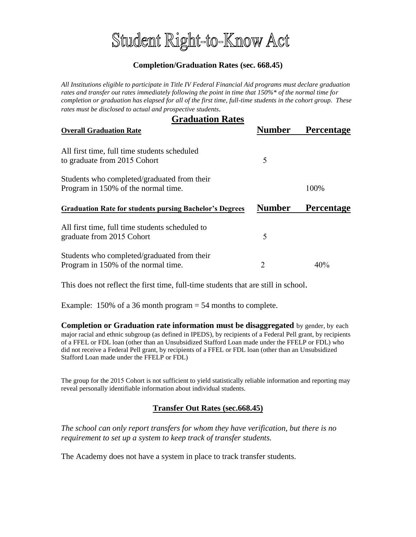# Student Right-to-Know Act

### **Completion/Graduation Rates (sec. 668.45)**

*All Institutions eligible to participate in Title IV Federal Financial Aid programs must declare graduation rates and transfer out rates immediately following the point in time that 150%\* of the normal time for completion or graduation has elapsed for all of the first time, full-time students in the cohort group. These rates must be disclosed to actual and prospective students.*

| <b>Graduation Rates</b>                                                            |               |                   |
|------------------------------------------------------------------------------------|---------------|-------------------|
| <b>Overall Graduation Rate</b>                                                     | <b>Number</b> | <b>Percentage</b> |
| All first time, full time students scheduled<br>to graduate from 2015 Cohort       | 5             |                   |
| Students who completed/graduated from their<br>Program in 150% of the normal time. |               | 100%              |
| <b>Graduation Rate for students pursing Bachelor's Degrees</b>                     | <b>Number</b> | <b>Percentage</b> |
| All first time, full time students scheduled to<br>graduate from 2015 Cohort       | 5             |                   |
| Students who completed/graduated from their<br>Program in 150% of the normal time. | 2             | 40%               |

This does not reflect the first time, full-time students that are still in school.

Example:  $150\%$  of a 36 month program  $= 54$  months to complete.

**Completion or Graduation rate information must be disaggregated** by gender, by each major racial and ethnic subgroup (as defined in IPEDS), by recipients of a Federal Pell grant, by recipients of a FFEL or FDL loan (other than an Unsubsidized Stafford Loan made under the FFELP or FDL) who did not receive a Federal Pell grant, by recipients of a FFEL or FDL loan (other than an Unsubsidized Stafford Loan made under the FFELP or FDL)

The group for the 2015 Cohort is not sufficient to yield statistically reliable information and reporting may reveal personally identifiable information about individual students.

#### **Transfer Out Rates (sec.668.45)**

*The school can only report transfers for whom they have verification, but there is no requirement to set up a system to keep track of transfer students.* 

The Academy does not have a system in place to track transfer students.